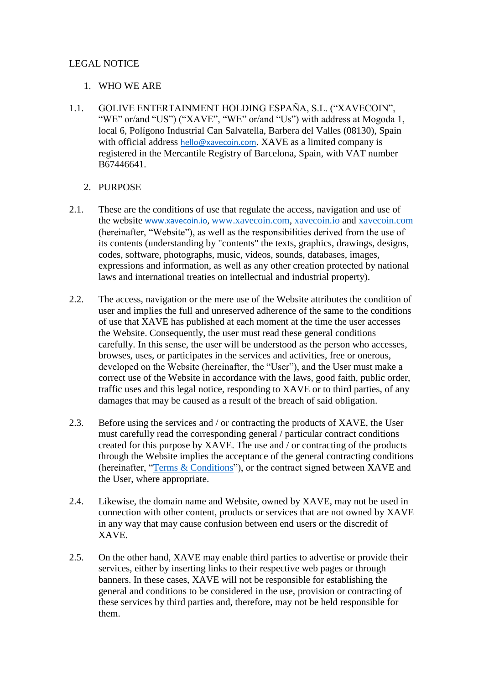## LEGAL NOTICE

#### 1. WHO WE ARE

- 1.1. GOLIVE ENTERTAINMENT HOLDING ESPAÑA, S.L. ("XAVECOIN", "WE" or/and "US") ("XAVE", "WE" or/and "Us") with address at Mogoda 1, local 6, Polígono Industrial Can Salvatella, Barbera del Valles (08130), Spain with official address [hello@xavecoin.com](mailto:hello@xavecoin.com). XAVE as a limited company is registered in the Mercantile Registry of Barcelona, Spain, with VAT number B67446641.
	- 2. PURPOSE
- 2.1. These are the conditions of use that regulate the access, navigation and use of the website [www.xavecoin.io,](http://www.xavecoin.io/) [www.xavecoin.com,](http://www.xavecoin.com/) [xavecoin.io](http://www.xavecoin.io/) and [xavecoin.com](http://www.xavecoin.com/) (hereinafter, "Website"), as well as the responsibilities derived from the use of its contents (understanding by "contents" the texts, graphics, drawings, designs, codes, software, photographs, music, videos, sounds, databases, images, expressions and information, as well as any other creation protected by national laws and international treaties on intellectual and industrial property).
- 2.2. The access, navigation or the mere use of the Website attributes the condition of user and implies the full and unreserved adherence of the same to the conditions of use that XAVE has published at each moment at the time the user accesses the Website. Consequently, the user must read these general conditions carefully. In this sense, the user will be understood as the person who accesses, browses, uses, or participates in the services and activities, free or onerous, developed on the Website (hereinafter, the "User"), and the User must make a correct use of the Website in accordance with the laws, good faith, public order, traffic uses and this legal notice, responding to XAVE or to third parties, of any damages that may be caused as a result of the breach of said obligation.
- 2.3. Before using the services and / or contracting the products of XAVE, the User must carefully read the corresponding general / particular contract conditions created for this purpose by XAVE. The use and / or contracting of the products through the Website implies the acceptance of the general contracting conditions (hereinafter, ["Terms & Conditions"](https://xavecoin.io/termsconditions/)), or the contract signed between XAVE and the User, where appropriate.
- 2.4. Likewise, the domain name and Website, owned by XAVE, may not be used in connection with other content, products or services that are not owned by XAVE in any way that may cause confusion between end users or the discredit of XAVE.
- 2.5. On the other hand, XAVE may enable third parties to advertise or provide their services, either by inserting links to their respective web pages or through banners. In these cases, XAVE will not be responsible for establishing the general and conditions to be considered in the use, provision or contracting of these services by third parties and, therefore, may not be held responsible for them.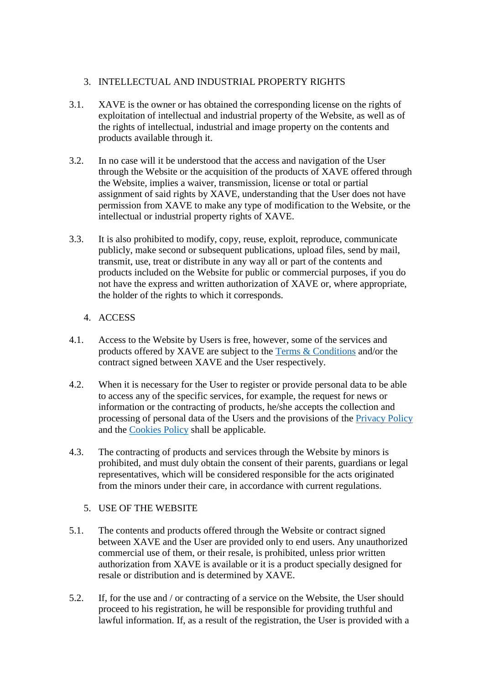# 3. INTELLECTUAL AND INDUSTRIAL PROPERTY RIGHTS

- 3.1. XAVE is the owner or has obtained the corresponding license on the rights of exploitation of intellectual and industrial property of the Website, as well as of the rights of intellectual, industrial and image property on the contents and products available through it.
- 3.2. In no case will it be understood that the access and navigation of the User through the Website or the acquisition of the products of XAVE offered through the Website, implies a waiver, transmission, license or total or partial assignment of said rights by XAVE, understanding that the User does not have permission from XAVE to make any type of modification to the Website, or the intellectual or industrial property rights of XAVE.
- 3.3. It is also prohibited to modify, copy, reuse, exploit, reproduce, communicate publicly, make second or subsequent publications, upload files, send by mail, transmit, use, treat or distribute in any way all or part of the contents and products included on the Website for public or commercial purposes, if you do not have the express and written authorization of XAVE or, where appropriate, the holder of the rights to which it corresponds.

## 4. ACCESS

- 4.1. Access to the Website by Users is free, however, some of the services and products offered by XAVE are subject to the [Terms & Conditions](https://xavecoin.io/termsconditions/) and/or the contract signed between XAVE and the User respectively.
- 4.2. When it is necessary for the User to register or provide personal data to be able to access any of the specific services, for example, the request for news or information or the contracting of products, he/she accepts the collection and processing of personal data of the Users and the provisions of the [Privacy](https://xavecoin.io/privacypolicy/) Policy and the [Cookies Policy](https://xavecoin.io/cookiepolicy/) shall be applicable.
- 4.3. The contracting of products and services through the Website by minors is prohibited, and must duly obtain the consent of their parents, guardians or legal representatives, which will be considered responsible for the acts originated from the minors under their care, in accordance with current regulations.
	- 5. USE OF THE WEBSITE
- 5.1. The contents and products offered through the Website or contract signed between XAVE and the User are provided only to end users. Any unauthorized commercial use of them, or their resale, is prohibited, unless prior written authorization from XAVE is available or it is a product specially designed for resale or distribution and is determined by XAVE.
- 5.2. If, for the use and / or contracting of a service on the Website, the User should proceed to his registration, he will be responsible for providing truthful and lawful information. If, as a result of the registration, the User is provided with a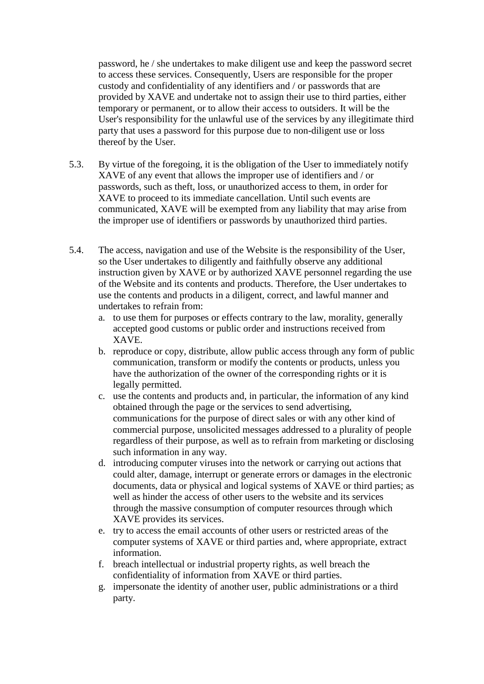password, he / she undertakes to make diligent use and keep the password secret to access these services. Consequently, Users are responsible for the proper custody and confidentiality of any identifiers and / or passwords that are provided by XAVE and undertake not to assign their use to third parties, either temporary or permanent, or to allow their access to outsiders. It will be the User's responsibility for the unlawful use of the services by any illegitimate third party that uses a password for this purpose due to non-diligent use or loss thereof by the User.

- 5.3. By virtue of the foregoing, it is the obligation of the User to immediately notify XAVE of any event that allows the improper use of identifiers and / or passwords, such as theft, loss, or unauthorized access to them, in order for XAVE to proceed to its immediate cancellation. Until such events are communicated, XAVE will be exempted from any liability that may arise from the improper use of identifiers or passwords by unauthorized third parties.
- 5.4. The access, navigation and use of the Website is the responsibility of the User, so the User undertakes to diligently and faithfully observe any additional instruction given by XAVE or by authorized XAVE personnel regarding the use of the Website and its contents and products. Therefore, the User undertakes to use the contents and products in a diligent, correct, and lawful manner and undertakes to refrain from:
	- a. to use them for purposes or effects contrary to the law, morality, generally accepted good customs or public order and instructions received from XAVE.
	- b. reproduce or copy, distribute, allow public access through any form of public communication, transform or modify the contents or products, unless you have the authorization of the owner of the corresponding rights or it is legally permitted.
	- c. use the contents and products and, in particular, the information of any kind obtained through the page or the services to send advertising, communications for the purpose of direct sales or with any other kind of commercial purpose, unsolicited messages addressed to a plurality of people regardless of their purpose, as well as to refrain from marketing or disclosing such information in any way.
	- d. introducing computer viruses into the network or carrying out actions that could alter, damage, interrupt or generate errors or damages in the electronic documents, data or physical and logical systems of XAVE or third parties; as well as hinder the access of other users to the website and its services through the massive consumption of computer resources through which XAVE provides its services.
	- e. try to access the email accounts of other users or restricted areas of the computer systems of XAVE or third parties and, where appropriate, extract information.
	- f. breach intellectual or industrial property rights, as well breach the confidentiality of information from XAVE or third parties.
	- g. impersonate the identity of another user, public administrations or a third party.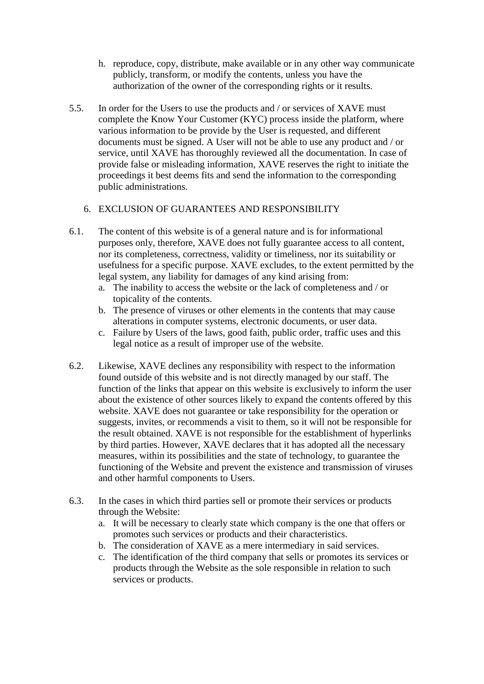- h. reproduce, copy, distribute, make available or in any other way communicate publicly, transform, or modify the contents, unless you have the authorization of the owner of the corresponding rights or it results.
- 5.5. In order for the Users to use the products and / or services of XAVE must complete the Know Your Customer (KYC) process inside the platform, where various information to be provide by the User is requested, and different documents must be signed. A User will not be able to use any product and / or service, until XAVE has thoroughly reviewed all the documentation. In case of provide false or misleading information, XAVE reserves the right to initiate the proceedings it best deems fits and send the information to the corresponding public administrations.

## 6. EXCLUSION OF GUARANTEES AND RESPONSIBILITY

- 6.1. The content of this website is of a general nature and is for informational purposes only, therefore, XAVE does not fully guarantee access to all content, nor its completeness, correctness, validity or timeliness, nor its suitability or usefulness for a specific purpose. XAVE excludes, to the extent permitted by the legal system, any liability for damages of any kind arising from:
	- a. The inability to access the website or the lack of completeness and / or topicality of the contents.
	- b. The presence of viruses or other elements in the contents that may cause alterations in computer systems, electronic documents, or user data.
	- c. Failure by Users of the laws, good faith, public order, traffic uses and this legal notice as a result of improper use of the website.
- 6.2. Likewise, XAVE declines any responsibility with respect to the information found outside of this website and is not directly managed by our staff. The function of the links that appear on this website is exclusively to inform the user about the existence of other sources likely to expand the contents offered by this website. XAVE does not guarantee or take responsibility for the operation or suggests, invites, or recommends a visit to them, so it will not be responsible for the result obtained. XAVE is not responsible for the establishment of hyperlinks by third parties. However, XAVE declares that it has adopted all the necessary measures, within its possibilities and the state of technology, to guarantee the functioning of the Website and prevent the existence and transmission of viruses and other harmful components to Users.
- 6.3. In the cases in which third parties sell or promote their services or products through the Website:
	- a. It will be necessary to clearly state which company is the one that offers or promotes such services or products and their characteristics.
	- b. The consideration of XAVE as a mere intermediary in said services.
	- c. The identification of the third company that sells or promotes its services or products through the Website as the sole responsible in relation to such services or products.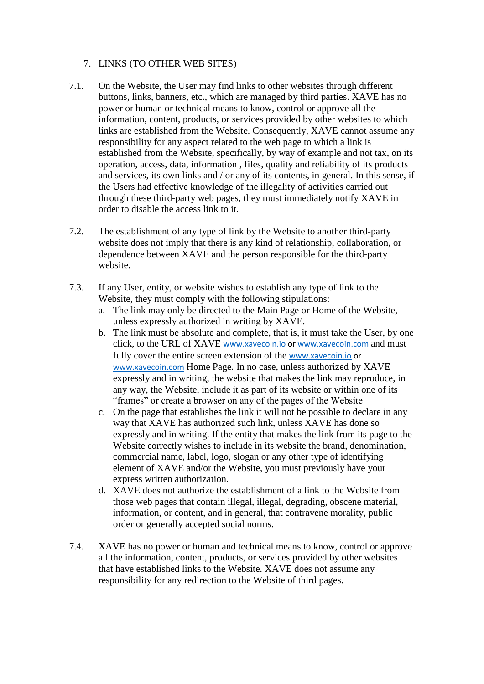## 7. LINKS (TO OTHER WEB SITES)

- 7.1. On the Website, the User may find links to other websites through different buttons, links, banners, etc., which are managed by third parties. XAVE has no power or human or technical means to know, control or approve all the information, content, products, or services provided by other websites to which links are established from the Website. Consequently, XAVE cannot assume any responsibility for any aspect related to the web page to which a link is established from the Website, specifically, by way of example and not tax, on its operation, access, data, information , files, quality and reliability of its products and services, its own links and / or any of its contents, in general. In this sense, if the Users had effective knowledge of the illegality of activities carried out through these third-party web pages, they must immediately notify XAVE in order to disable the access link to it.
- 7.2. The establishment of any type of link by the Website to another third-party website does not imply that there is any kind of relationship, collaboration, or dependence between XAVE and the person responsible for the third-party website.
- 7.3. If any User, entity, or website wishes to establish any type of link to the Website, they must comply with the following stipulations:
	- a. The link may only be directed to the Main Page or Home of the Website, unless expressly authorized in writing by XAVE.
	- b. The link must be absolute and complete, that is, it must take the User, by one click, to the URL of XAVE [www.xavecoin.io](http://www.xavecoin.io/) or [www.xavecoin.com](http://www.xavecoin.com/) and must fully cover the entire screen extension of the [www.xavecoin.io](http://www.xavecoin.io/) or [www.xavecoin.com](http://www.xavecoin.com/) Home Page. In no case, unless authorized by XAVE expressly and in writing, the website that makes the link may reproduce, in any way, the Website, include it as part of its website or within one of its "frames" or create a browser on any of the pages of the Website
	- c. On the page that establishes the link it will not be possible to declare in any way that XAVE has authorized such link, unless XAVE has done so expressly and in writing. If the entity that makes the link from its page to the Website correctly wishes to include in its website the brand, denomination, commercial name, label, logo, slogan or any other type of identifying element of XAVE and/or the Website, you must previously have your express written authorization.
	- d. XAVE does not authorize the establishment of a link to the Website from those web pages that contain illegal, illegal, degrading, obscene material, information, or content, and in general, that contravene morality, public order or generally accepted social norms.
- 7.4. XAVE has no power or human and technical means to know, control or approve all the information, content, products, or services provided by other websites that have established links to the Website. XAVE does not assume any responsibility for any redirection to the Website of third pages.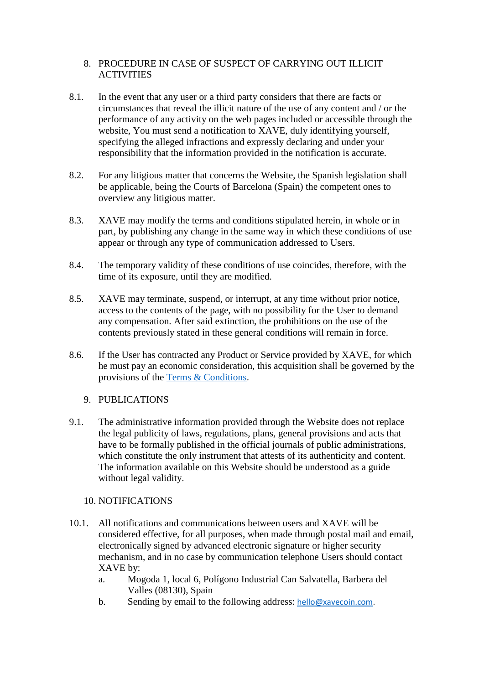## 8. PROCEDURE IN CASE OF SUSPECT OF CARRYING OUT ILLICIT ACTIVITIES

- 8.1. In the event that any user or a third party considers that there are facts or circumstances that reveal the illicit nature of the use of any content and / or the performance of any activity on the web pages included or accessible through the website, You must send a notification to XAVE, duly identifying yourself, specifying the alleged infractions and expressly declaring and under your responsibility that the information provided in the notification is accurate.
- 8.2. For any litigious matter that concerns the Website, the Spanish legislation shall be applicable, being the Courts of Barcelona (Spain) the competent ones to overview any litigious matter.
- 8.3. XAVE may modify the terms and conditions stipulated herein, in whole or in part, by publishing any change in the same way in which these conditions of use appear or through any type of communication addressed to Users.
- 8.4. The temporary validity of these conditions of use coincides, therefore, with the time of its exposure, until they are modified.
- 8.5. XAVE may terminate, suspend, or interrupt, at any time without prior notice, access to the contents of the page, with no possibility for the User to demand any compensation. After said extinction, the prohibitions on the use of the contents previously stated in these general conditions will remain in force.
- 8.6. If the User has contracted any Product or Service provided by XAVE, for which he must pay an economic consideration, this acquisition shall be governed by the provisions of the [Terms & Conditions.](https://xavecoin.io/termsconditions/)

## 9. PUBLICATIONS

9.1. The administrative information provided through the Website does not replace the legal publicity of laws, regulations, plans, general provisions and acts that have to be formally published in the official journals of public administrations, which constitute the only instrument that attests of its authenticity and content. The information available on this Website should be understood as a guide without legal validity.

## 10. NOTIFICATIONS

- 10.1. All notifications and communications between users and XAVE will be considered effective, for all purposes, when made through postal mail and email, electronically signed by advanced electronic signature or higher security mechanism, and in no case by communication telephone Users should contact XAVE by:
	- a. Mogoda 1, local 6, Polígono Industrial Can Salvatella, Barbera del Valles (08130), Spain
	- b. Sending by email to the following address: [hello@xavecoin.com.](mailto:hello@xavecoin.com)